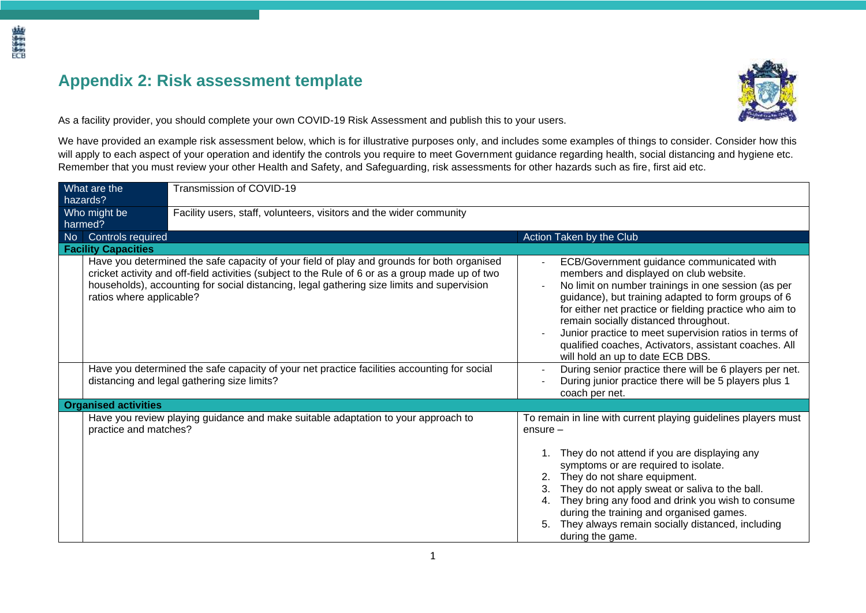## **Appendix 2: Risk assessment template**



As a facility provider, you should complete your own COVID-19 Risk Assessment and publish this to your users.

We have provided an example risk assessment below, which is for illustrative purposes only, and includes some examples of things to consider. Consider how this will apply to each aspect of your operation and identify the controls you require to meet Government guidance regarding health, social distancing and hygiene etc. Remember that you must review your other Health and Safety, and Safeguarding, risk assessments for other hazards such as fire, first aid etc.

| What are the<br>hazards?              | Transmission of COVID-19                                                                                                                                                                                                                                                                     |                                                                                                                                                                                                                                                                                                                                                                                                                                                                                |
|---------------------------------------|----------------------------------------------------------------------------------------------------------------------------------------------------------------------------------------------------------------------------------------------------------------------------------------------|--------------------------------------------------------------------------------------------------------------------------------------------------------------------------------------------------------------------------------------------------------------------------------------------------------------------------------------------------------------------------------------------------------------------------------------------------------------------------------|
| Who might be<br>harmed?               | Facility users, staff, volunteers, visitors and the wider community                                                                                                                                                                                                                          |                                                                                                                                                                                                                                                                                                                                                                                                                                                                                |
| <b>Controls required</b><br><b>No</b> |                                                                                                                                                                                                                                                                                              | Action Taken by the Club                                                                                                                                                                                                                                                                                                                                                                                                                                                       |
| <b>Facility Capacities</b>            |                                                                                                                                                                                                                                                                                              |                                                                                                                                                                                                                                                                                                                                                                                                                                                                                |
| ratios where applicable?              | Have you determined the safe capacity of your field of play and grounds for both organised<br>cricket activity and off-field activities (subject to the Rule of 6 or as a group made up of two<br>households), accounting for social distancing, legal gathering size limits and supervision | ECB/Government guidance communicated with<br>$\blacksquare$<br>members and displayed on club website.<br>No limit on number trainings in one session (as per<br>guidance), but training adapted to form groups of 6<br>for either net practice or fielding practice who aim to<br>remain socially distanced throughout.<br>Junior practice to meet supervision ratios in terms of<br>qualified coaches, Activators, assistant coaches. All<br>will hold an up to date ECB DBS. |
|                                       | Have you determined the safe capacity of your net practice facilities accounting for social<br>distancing and legal gathering size limits?                                                                                                                                                   | During senior practice there will be 6 players per net.<br>During junior practice there will be 5 players plus 1<br>coach per net.                                                                                                                                                                                                                                                                                                                                             |
| <b>Organised activities</b>           |                                                                                                                                                                                                                                                                                              |                                                                                                                                                                                                                                                                                                                                                                                                                                                                                |
| practice and matches?                 | Have you review playing guidance and make suitable adaptation to your approach to                                                                                                                                                                                                            | To remain in line with current playing guidelines players must<br>$ensure -$                                                                                                                                                                                                                                                                                                                                                                                                   |
|                                       |                                                                                                                                                                                                                                                                                              | They do not attend if you are displaying any<br>symptoms or are required to isolate.<br>They do not share equipment.<br>They do not apply sweat or saliva to the ball.<br>They bring any food and drink you wish to consume<br>4.<br>during the training and organised games.<br>They always remain socially distanced, including<br>during the game.                                                                                                                          |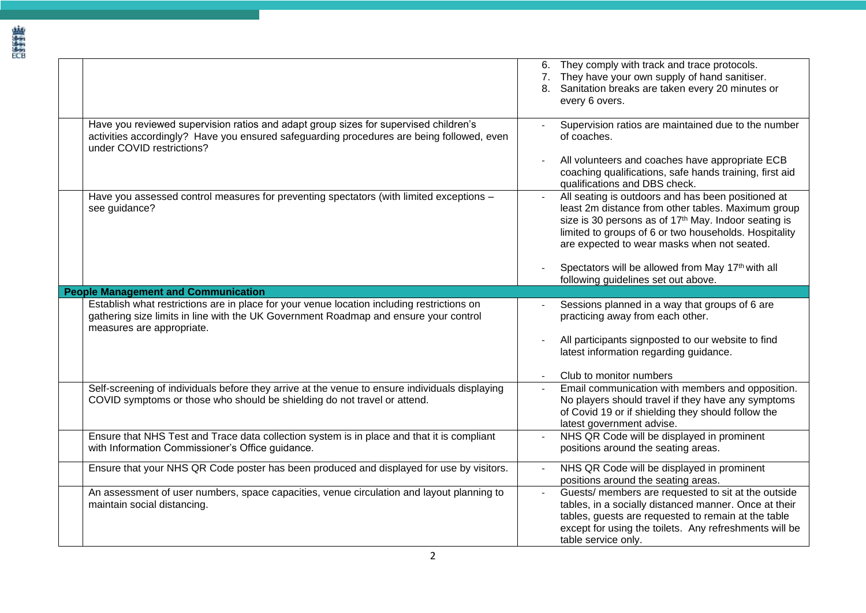|                                                                                                                                                                                                                 | 6.<br>8. | They comply with track and trace protocols.<br>7. They have your own supply of hand sanitiser.<br>Sanitation breaks are taken every 20 minutes or<br>every 6 overs.                                                                                                      |
|-----------------------------------------------------------------------------------------------------------------------------------------------------------------------------------------------------------------|----------|--------------------------------------------------------------------------------------------------------------------------------------------------------------------------------------------------------------------------------------------------------------------------|
| Have you reviewed supervision ratios and adapt group sizes for supervised children's<br>activities accordingly? Have you ensured safeguarding procedures are being followed, even<br>under COVID restrictions?  |          | Supervision ratios are maintained due to the number<br>of coaches.                                                                                                                                                                                                       |
|                                                                                                                                                                                                                 |          | All volunteers and coaches have appropriate ECB<br>coaching qualifications, safe hands training, first aid<br>qualifications and DBS check.                                                                                                                              |
| Have you assessed control measures for preventing spectators (with limited exceptions -<br>see guidance?                                                                                                        |          | All seating is outdoors and has been positioned at<br>least 2m distance from other tables. Maximum group<br>size is 30 persons as of 17th May. Indoor seating is<br>limited to groups of 6 or two households. Hospitality<br>are expected to wear masks when not seated. |
|                                                                                                                                                                                                                 |          | Spectators will be allowed from May 17th with all<br>following guidelines set out above.                                                                                                                                                                                 |
| <b>People Management and Communication</b>                                                                                                                                                                      |          |                                                                                                                                                                                                                                                                          |
| Establish what restrictions are in place for your venue location including restrictions on<br>gathering size limits in line with the UK Government Roadmap and ensure your control<br>measures are appropriate. |          | Sessions planned in a way that groups of 6 are<br>practicing away from each other.                                                                                                                                                                                       |
|                                                                                                                                                                                                                 |          | All participants signposted to our website to find<br>latest information regarding guidance.                                                                                                                                                                             |
|                                                                                                                                                                                                                 |          | Club to monitor numbers                                                                                                                                                                                                                                                  |
| Self-screening of individuals before they arrive at the venue to ensure individuals displaying<br>COVID symptoms or those who should be shielding do not travel or attend.                                      |          | Email communication with members and opposition.<br>No players should travel if they have any symptoms<br>of Covid 19 or if shielding they should follow the<br>latest government advise.                                                                                |
| Ensure that NHS Test and Trace data collection system is in place and that it is compliant<br>with Information Commissioner's Office guidance.                                                                  |          | NHS QR Code will be displayed in prominent<br>positions around the seating areas.                                                                                                                                                                                        |
| Ensure that your NHS QR Code poster has been produced and displayed for use by visitors.                                                                                                                        |          | NHS QR Code will be displayed in prominent<br>positions around the seating areas.                                                                                                                                                                                        |
| An assessment of user numbers, space capacities, venue circulation and layout planning to<br>maintain social distancing.                                                                                        |          | Guests/ members are requested to sit at the outside<br>tables, in a socially distanced manner. Once at their<br>tables, guests are requested to remain at the table<br>except for using the toilets. Any refreshments will be<br>table service only.                     |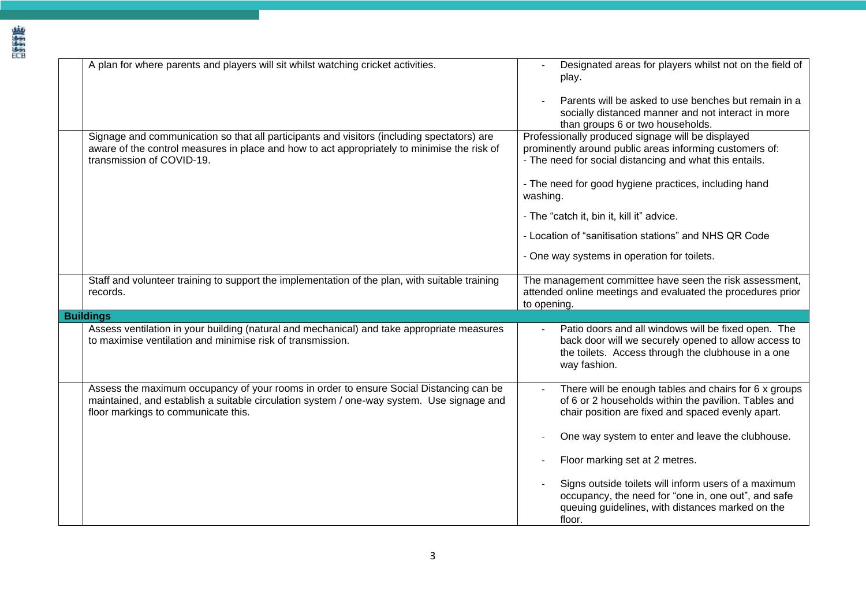| A plan for where parents and players will sit whilst watching cricket activities.                                                                                                                                          | Designated areas for players whilst not on the field of<br>play.<br>Parents will be asked to use benches but remain in a<br>socially distanced manner and not interact in more<br>than groups 6 or two households.                                                                                                                                                                                                                    |
|----------------------------------------------------------------------------------------------------------------------------------------------------------------------------------------------------------------------------|---------------------------------------------------------------------------------------------------------------------------------------------------------------------------------------------------------------------------------------------------------------------------------------------------------------------------------------------------------------------------------------------------------------------------------------|
| Signage and communication so that all participants and visitors (including spectators) are<br>aware of the control measures in place and how to act appropriately to minimise the risk of<br>transmission of COVID-19.     | Professionally produced signage will be displayed<br>prominently around public areas informing customers of:<br>- The need for social distancing and what this entails.<br>- The need for good hygiene practices, including hand<br>washing.<br>- The "catch it, bin it, kill it" advice.<br>- Location of "sanitisation stations" and NHS QR Code<br>- One way systems in operation for toilets.                                     |
| Staff and volunteer training to support the implementation of the plan, with suitable training<br>records.                                                                                                                 | The management committee have seen the risk assessment,<br>attended online meetings and evaluated the procedures prior<br>to opening.                                                                                                                                                                                                                                                                                                 |
| <b>Buildings</b>                                                                                                                                                                                                           |                                                                                                                                                                                                                                                                                                                                                                                                                                       |
| Assess ventilation in your building (natural and mechanical) and take appropriate measures<br>to maximise ventilation and minimise risk of transmission.                                                                   | Patio doors and all windows will be fixed open. The<br>back door will we securely opened to allow access to<br>the toilets. Access through the clubhouse in a one<br>way fashion.                                                                                                                                                                                                                                                     |
| Assess the maximum occupancy of your rooms in order to ensure Social Distancing can be<br>maintained, and establish a suitable circulation system / one-way system. Use signage and<br>floor markings to communicate this. | There will be enough tables and chairs for 6 x groups<br>of 6 or 2 households within the pavilion. Tables and<br>chair position are fixed and spaced evenly apart.<br>One way system to enter and leave the clubhouse.<br>Floor marking set at 2 metres.<br>Signs outside toilets will inform users of a maximum<br>occupancy, the need for "one in, one out", and safe<br>queuing guidelines, with distances marked on the<br>floor. |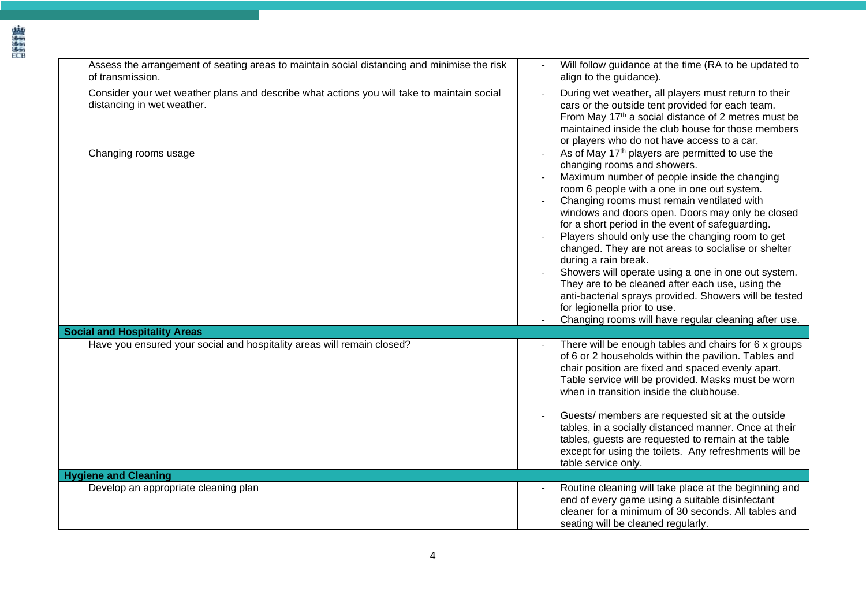| Assess the arrangement of seating areas to maintain social distancing and minimise the risk<br>of transmission.          | Will follow guidance at the time (RA to be updated to<br>align to the guidance).                                                                                                                                                                                                                                                                                                                                                                                                                                                                                                                                                                                                                                                                                  |
|--------------------------------------------------------------------------------------------------------------------------|-------------------------------------------------------------------------------------------------------------------------------------------------------------------------------------------------------------------------------------------------------------------------------------------------------------------------------------------------------------------------------------------------------------------------------------------------------------------------------------------------------------------------------------------------------------------------------------------------------------------------------------------------------------------------------------------------------------------------------------------------------------------|
| Consider your wet weather plans and describe what actions you will take to maintain social<br>distancing in wet weather. | During wet weather, all players must return to their<br>cars or the outside tent provided for each team.<br>From May 17 <sup>th</sup> a social distance of 2 metres must be<br>maintained inside the club house for those members<br>or players who do not have access to a car.                                                                                                                                                                                                                                                                                                                                                                                                                                                                                  |
| Changing rooms usage                                                                                                     | As of May 17 <sup>th</sup> players are permitted to use the<br>$\blacksquare$<br>changing rooms and showers.<br>Maximum number of people inside the changing<br>room 6 people with a one in one out system.<br>Changing rooms must remain ventilated with<br>windows and doors open. Doors may only be closed<br>for a short period in the event of safeguarding.<br>Players should only use the changing room to get<br>changed. They are not areas to socialise or shelter<br>during a rain break.<br>Showers will operate using a one in one out system.<br>They are to be cleaned after each use, using the<br>anti-bacterial sprays provided. Showers will be tested<br>for legionella prior to use.<br>Changing rooms will have regular cleaning after use. |
| <b>Social and Hospitality Areas</b>                                                                                      |                                                                                                                                                                                                                                                                                                                                                                                                                                                                                                                                                                                                                                                                                                                                                                   |
| Have you ensured your social and hospitality areas will remain closed?                                                   | There will be enough tables and chairs for 6 x groups<br>of 6 or 2 households within the pavilion. Tables and<br>chair position are fixed and spaced evenly apart.<br>Table service will be provided. Masks must be worn<br>when in transition inside the clubhouse.<br>Guests/ members are requested sit at the outside<br>tables, in a socially distanced manner. Once at their<br>tables, guests are requested to remain at the table<br>except for using the toilets. Any refreshments will be<br>table service only.                                                                                                                                                                                                                                         |
| <b>Hygiene and Cleaning</b>                                                                                              |                                                                                                                                                                                                                                                                                                                                                                                                                                                                                                                                                                                                                                                                                                                                                                   |
| Develop an appropriate cleaning plan                                                                                     | Routine cleaning will take place at the beginning and<br>end of every game using a suitable disinfectant<br>cleaner for a minimum of 30 seconds. All tables and<br>seating will be cleaned regularly.                                                                                                                                                                                                                                                                                                                                                                                                                                                                                                                                                             |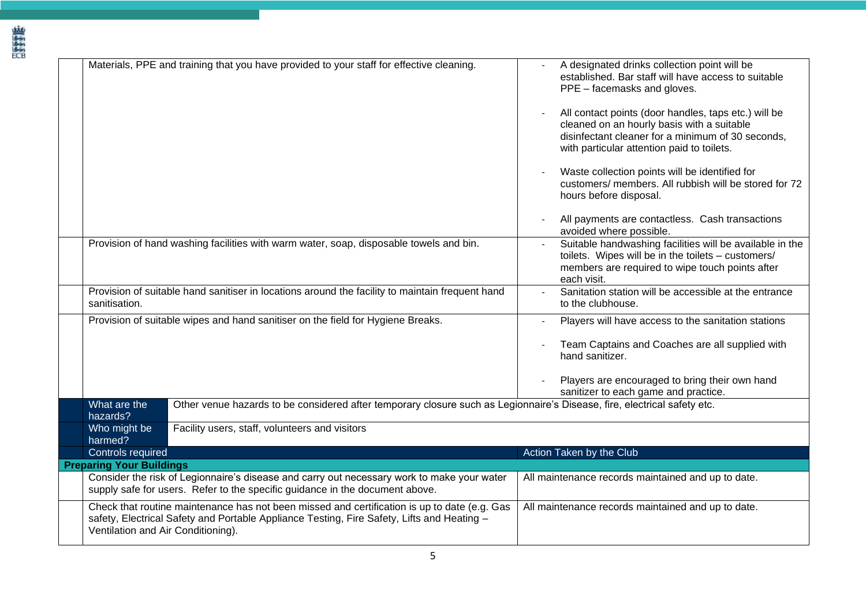|                                                                                                                                                      | Materials, PPE and training that you have provided to your staff for effective cleaning.                                                                                                   | A designated drinks collection point will be<br>established. Bar staff will have access to suitable<br>PPE - facemasks and gloves.<br>All contact points (door handles, taps etc.) will be<br>cleaned on an hourly basis with a suitable<br>disinfectant cleaner for a minimum of 30 seconds,<br>with particular attention paid to toilets.<br>Waste collection points will be identified for<br>customers/ members. All rubbish will be stored for 72<br>hours before disposal.<br>All payments are contactless. Cash transactions<br>avoided where possible. |
|------------------------------------------------------------------------------------------------------------------------------------------------------|--------------------------------------------------------------------------------------------------------------------------------------------------------------------------------------------|----------------------------------------------------------------------------------------------------------------------------------------------------------------------------------------------------------------------------------------------------------------------------------------------------------------------------------------------------------------------------------------------------------------------------------------------------------------------------------------------------------------------------------------------------------------|
|                                                                                                                                                      | Provision of hand washing facilities with warm water, soap, disposable towels and bin.                                                                                                     | Suitable handwashing facilities will be available in the<br>$\blacksquare$<br>toilets. Wipes will be in the toilets - customers/<br>members are required to wipe touch points after<br>each visit.                                                                                                                                                                                                                                                                                                                                                             |
| Provision of suitable hand sanitiser in locations around the facility to maintain frequent hand<br>sanitisation.                                     |                                                                                                                                                                                            | Sanitation station will be accessible at the entrance<br>$\blacksquare$<br>to the clubhouse.                                                                                                                                                                                                                                                                                                                                                                                                                                                                   |
|                                                                                                                                                      | Provision of suitable wipes and hand sanitiser on the field for Hygiene Breaks.                                                                                                            | Players will have access to the sanitation stations                                                                                                                                                                                                                                                                                                                                                                                                                                                                                                            |
|                                                                                                                                                      |                                                                                                                                                                                            | Team Captains and Coaches are all supplied with<br>hand sanitizer.                                                                                                                                                                                                                                                                                                                                                                                                                                                                                             |
|                                                                                                                                                      |                                                                                                                                                                                            | Players are encouraged to bring their own hand<br>sanitizer to each game and practice.                                                                                                                                                                                                                                                                                                                                                                                                                                                                         |
| Other venue hazards to be considered after temporary closure such as Legionnaire's Disease, fire, electrical safety etc.<br>What are the<br>hazards? |                                                                                                                                                                                            |                                                                                                                                                                                                                                                                                                                                                                                                                                                                                                                                                                |
| Who might be<br>harmed?                                                                                                                              | Facility users, staff, volunteers and visitors                                                                                                                                             |                                                                                                                                                                                                                                                                                                                                                                                                                                                                                                                                                                |
| <b>Controls required</b>                                                                                                                             |                                                                                                                                                                                            | Action Taken by the Club                                                                                                                                                                                                                                                                                                                                                                                                                                                                                                                                       |
| <b>Preparing Your Buildings</b>                                                                                                                      |                                                                                                                                                                                            |                                                                                                                                                                                                                                                                                                                                                                                                                                                                                                                                                                |
|                                                                                                                                                      | Consider the risk of Legionnaire's disease and carry out necessary work to make your water<br>supply safe for users. Refer to the specific guidance in the document above.                 | All maintenance records maintained and up to date.                                                                                                                                                                                                                                                                                                                                                                                                                                                                                                             |
| Ventilation and Air Conditioning).                                                                                                                   | Check that routine maintenance has not been missed and certification is up to date (e.g. Gas<br>safety, Electrical Safety and Portable Appliance Testing, Fire Safety, Lifts and Heating - | All maintenance records maintained and up to date.                                                                                                                                                                                                                                                                                                                                                                                                                                                                                                             |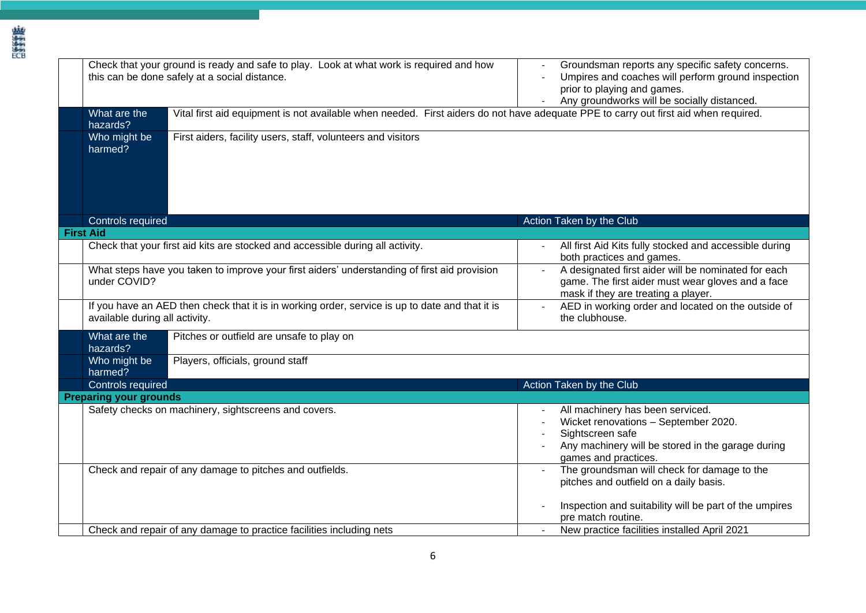|                                       | Check that your ground is ready and safe to play. Look at what work is required and how<br>this can be done safely at a social distance. | Groundsman reports any specific safety concerns.<br>Umpires and coaches will perform ground inspection<br>prior to playing and games.<br>Any groundworks will be socially distanced. |
|---------------------------------------|------------------------------------------------------------------------------------------------------------------------------------------|--------------------------------------------------------------------------------------------------------------------------------------------------------------------------------------|
| What are the<br>hazards?              | Vital first aid equipment is not available when needed. First aiders do not have adequate PPE to carry out first aid when required.      |                                                                                                                                                                                      |
| Who might be<br>harmed?               | First aiders, facility users, staff, volunteers and visitors                                                                             |                                                                                                                                                                                      |
|                                       |                                                                                                                                          |                                                                                                                                                                                      |
| Controls required<br><b>First Aid</b> |                                                                                                                                          | Action Taken by the Club                                                                                                                                                             |
|                                       | Check that your first aid kits are stocked and accessible during all activity.                                                           | All first Aid Kits fully stocked and accessible during<br>both practices and games.                                                                                                  |
| under COVID?                          | What steps have you taken to improve your first aiders' understanding of first aid provision                                             | A designated first aider will be nominated for each<br>game. The first aider must wear gloves and a face<br>mask if they are treating a player.                                      |
| available during all activity.        | If you have an AED then check that it is in working order, service is up to date and that it is                                          | AED in working order and located on the outside of<br>the clubhouse.                                                                                                                 |
| What are the<br>hazards?              | Pitches or outfield are unsafe to play on                                                                                                |                                                                                                                                                                                      |
| Who might be<br>harmed?               | Players, officials, ground staff                                                                                                         |                                                                                                                                                                                      |
| Controls required                     |                                                                                                                                          | Action Taken by the Club                                                                                                                                                             |
| <b>Preparing your grounds</b>         | Safety checks on machinery, sightscreens and covers.                                                                                     | All machinery has been serviced.                                                                                                                                                     |
|                                       |                                                                                                                                          | Wicket renovations - September 2020.<br>Sightscreen safe<br>Any machinery will be stored in the garage during<br>games and practices.                                                |
|                                       | Check and repair of any damage to pitches and outfields.                                                                                 | The groundsman will check for damage to the<br>pitches and outfield on a daily basis.<br>Inspection and suitability will be part of the umpires<br>pre match routine.                |
|                                       | Check and repair of any damage to practice facilities including nets                                                                     | New practice facilities installed April 2021                                                                                                                                         |